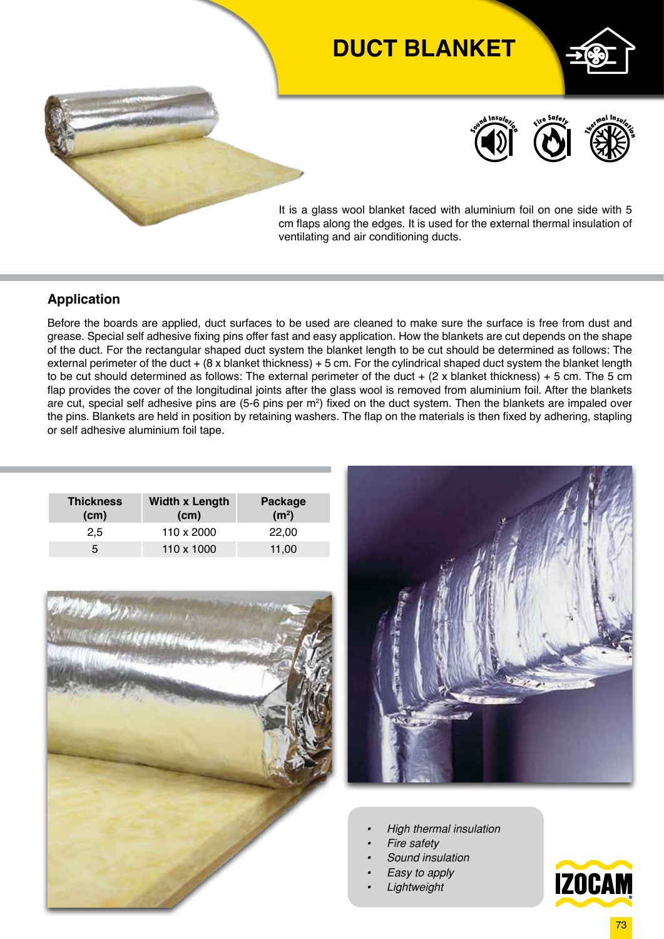# **DUCT BLANKET**







It is a glass wool blanket faced with aluminium foil on one side with 5 cm flaps along the edges. It is used for the external thermal insulation of ventilating and air conditioning ducts.

#### **Application**

Before the boards are applied, duct surfaces to be used are cleaned to make sure the surface is free from dust and grease. Special self adhesive fixing pins offer fast and easy application. How the blankets are cut depends on the shape of the duct. For the rectangular shaped duct system the blanket length to be cut should be determined as follows: The external perimeter of the duct + (8 x blanket thickness) + 5 cm. For the cylindrical shaped duct system the blanket length to be cut should determined as follows: The external perimeter of the duct  $+$  (2 x blanket thickness)  $+$  5 cm. The 5 cm flap provides the cover of the longitudinal joints after the glass wool is removed from aluminium foil. After the blankets are cut, special self adhesive pins are (5-6 pins per m<sup>2</sup>) fixed on the duct system. Then the blankets are impaled over the pins. Blankets are held in position by retaining washers. The flap on the materials is then fixed by adhering, stapling or self adhesive aluminium foil tape.

| <b>Thickness</b><br>(cm) | <b>Width x Length</b><br>(cm) | Package<br>(m <sup>2</sup> ) |  |  |
|--------------------------|-------------------------------|------------------------------|--|--|
| 2,5                      | 110 x 2000                    | 22,00                        |  |  |
| 5                        | 110 x 1000                    | 11,00                        |  |  |





- *• High thermal insulation*
- *• Fire safety*
- *• Sound insulation*
- *• Easy to apply*
- *• Lightweight*